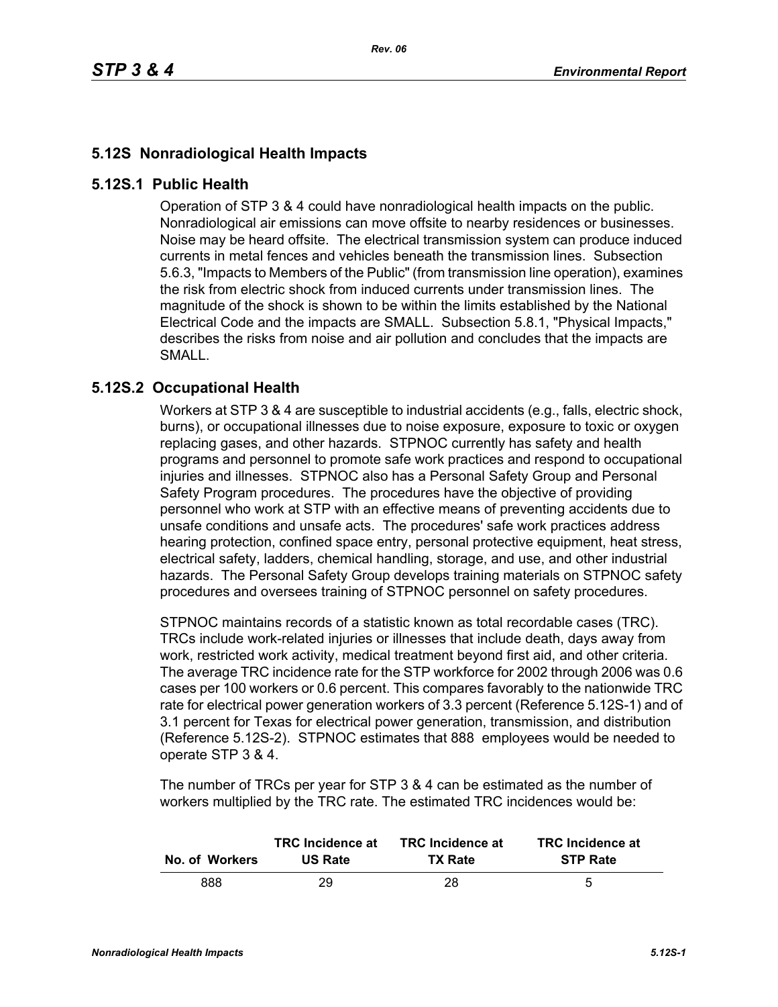## **5.12S Nonradiological Health Impacts**

## **5.12S.1 Public Health**

Operation of STP 3 & 4 could have nonradiological health impacts on the public. Nonradiological air emissions can move offsite to nearby residences or businesses. Noise may be heard offsite. The electrical transmission system can produce induced currents in metal fences and vehicles beneath the transmission lines. Subsection 5.6.3, "Impacts to Members of the Public" (from transmission line operation), examines the risk from electric shock from induced currents under transmission lines. The magnitude of the shock is shown to be within the limits established by the National Electrical Code and the impacts are SMALL. Subsection 5.8.1, "Physical Impacts," describes the risks from noise and air pollution and concludes that the impacts are SMALL.

## **5.12S.2 Occupational Health**

Workers at STP 3 & 4 are susceptible to industrial accidents (e.g., falls, electric shock, burns), or occupational illnesses due to noise exposure, exposure to toxic or oxygen replacing gases, and other hazards. STPNOC currently has safety and health programs and personnel to promote safe work practices and respond to occupational injuries and illnesses. STPNOC also has a Personal Safety Group and Personal Safety Program procedures. The procedures have the objective of providing personnel who work at STP with an effective means of preventing accidents due to unsafe conditions and unsafe acts. The procedures' safe work practices address hearing protection, confined space entry, personal protective equipment, heat stress, electrical safety, ladders, chemical handling, storage, and use, and other industrial hazards. The Personal Safety Group develops training materials on STPNOC safety procedures and oversees training of STPNOC personnel on safety procedures.

STPNOC maintains records of a statistic known as total recordable cases (TRC). TRCs include work-related injuries or illnesses that include death, days away from work, restricted work activity, medical treatment beyond first aid, and other criteria. The average TRC incidence rate for the STP workforce for 2002 through 2006 was 0.6 cases per 100 workers or 0.6 percent. This compares favorably to the nationwide TRC rate for electrical power generation workers of 3.3 percent (Reference 5.12S-1) and of 3.1 percent for Texas for electrical power generation, transmission, and distribution (Reference 5.12S-2). STPNOC estimates that 888 employees would be needed to operate STP 3 & 4.

The number of TRCs per year for STP 3 & 4 can be estimated as the number of workers multiplied by the TRC rate. The estimated TRC incidences would be:

| No. of Workers | <b>TRC</b> Incidence at | <b>TRC</b> Incidence at | <b>TRC</b> Incidence at |
|----------------|-------------------------|-------------------------|-------------------------|
|                | <b>US Rate</b>          | <b>TX Rate</b>          | <b>STP Rate</b>         |
| 888            | 29                      | 28                      | 5                       |